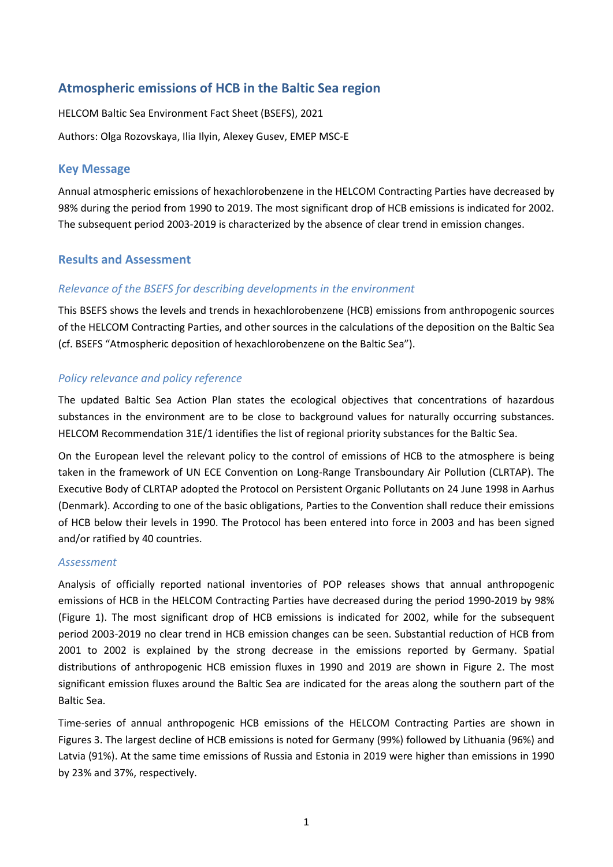# **Atmospheric emissions of HCB in the Baltic Sea region**

HELCOM Baltic Sea Environment Fact Sheet (BSEFS), 2021 Authors: Olga Rozovskaya, Ilia Ilyin, Alexey Gusev, EMEP MSC-E

# **Key Message**

Annual atmospheric emissions of hexachlorobenzene in the HELCOM Contracting Parties have decreased by 98% during the period from 1990 to 2019. The most significant drop of HCB emissions is indicated for 2002. The subsequent period 2003-2019 is characterized by the absence of clear trend in emission changes.

# **Results and Assessment**

### *Relevance of the BSEFS for describing developments in the environment*

This BSEFS shows the levels and trends in hexachlorobenzene (HCB) emissions from anthropogenic sources of the HELCOM Contracting Parties, and other sources in the calculations of the deposition on the Baltic Sea (cf. BSEFS "Atmospheric deposition of hexachlorobenzene on the Baltic Sea").

# *Policy relevance and policy reference*

The updated Baltic Sea Action Plan states the ecological objectives that concentrations of hazardous substances in the environment are to be close to background values for naturally occurring substances. HELCOM Recommendation 31E/1 identifies the list of regional priority substances for the Baltic Sea.

On the European level the relevant policy to the control of emissions of HCB to the atmosphere is being taken in the framework of UN ECE Convention on Long-Range Transboundary Air Pollution (CLRTAP). The Executive Body of CLRTAP adopted the Protocol on Persistent Organic Pollutants on 24 June 1998 in Aarhus (Denmark). According to one of the basic obligations, Parties to the Convention shall reduce their emissions of HCB below their levels in 1990. The Protocol has been entered into force in 2003 and has been signed and/or ratified by 40 countries.

#### *Assessment*

Analysis of officially reported national inventories of POP releases shows that annual anthropogenic emissions of HCB in the HELCOM Contracting Parties have decreased during the period 1990-2019 by 98% (Figure 1). The most significant drop of HCB emissions is indicated for 2002, while for the subsequent period 2003-2019 no clear trend in HCB emission changes can be seen. Substantial reduction of HCB from 2001 to 2002 is explained by the strong decrease in the emissions reported by Germany. Spatial distributions of anthropogenic HCB emission fluxes in 1990 and 2019 are shown in Figure 2. The most significant emission fluxes around the Baltic Sea are indicated for the areas along the southern part of the Baltic Sea.

Time-series of annual anthropogenic HCB emissions of the HELCOM Contracting Parties are shown in Figures 3. The largest decline of HCB emissions is noted for Germany (99%) followed by Lithuania (96%) and Latvia (91%). At the same time emissions of Russia and Estonia in 2019 were higher than emissions in 1990 by 23% and 37%, respectively.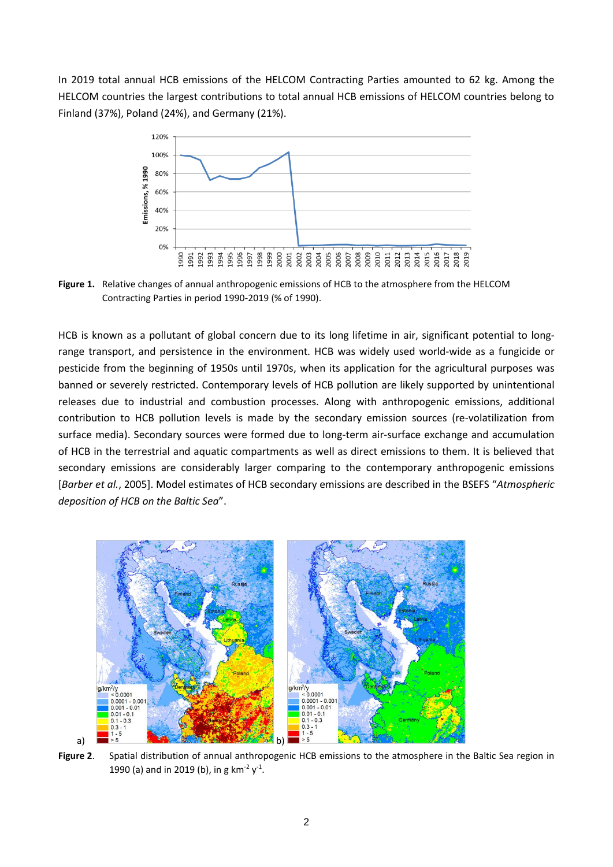In 2019 total annual HCB emissions of the HELCOM Contracting Parties amounted to 62 kg. Among the HELCOM countries the largest contributions to total annual HCB emissions of HELCOM countries belong to Finland (37%), Poland (24%), and Germany (21%).



**Figure 1.** Relative changes of annual anthropogenic emissions of HCB to the atmosphere from the HELCOM Contracting Parties in period 1990-2019 (% of 1990).

HCB is known as a pollutant of global concern due to its long lifetime in air, significant potential to longrange transport, and persistence in the environment. HCB was widely used world-wide as a fungicide or pesticide from the beginning of 1950s until 1970s, when its application for the agricultural purposes was banned or severely restricted. Contemporary levels of HCB pollution are likely supported by unintentional releases due to industrial and combustion processes. Along with anthropogenic emissions, additional contribution to HCB pollution levels is made by the secondary emission sources (re-volatilization from surface media). Secondary sources were formed due to long-term air-surface exchange and accumulation of HCB in the terrestrial and aquatic compartments as well as direct emissions to them. It is believed that secondary emissions are considerably larger comparing to the contemporary anthropogenic emissions [*Barber et al.*, 2005]. Model estimates of HCB secondary emissions are described in the BSEFS "*Atmospheric deposition of HCB on the Baltic Sea*".



**Figure 2**. Spatial distribution of annual anthropogenic HCB emissions to the atmosphere in the Baltic Sea region in 1990 (a) and in 2019 (b), in g km<sup>-2</sup>  $y^{-1}$ .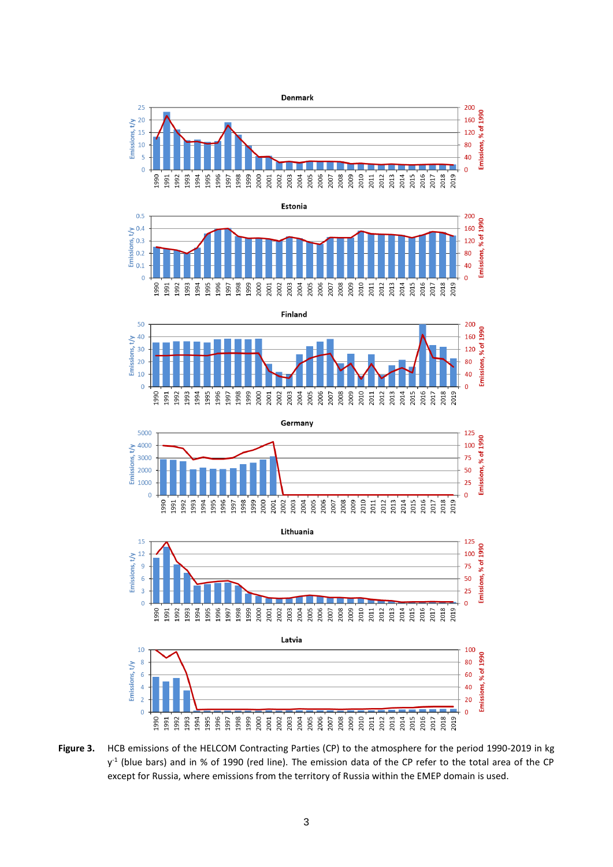









**Figure 3.** HCB emissions of the HELCOM Contracting Parties (CP) to the atmosphere for the period 1990-2019 in kg  $y^1$  (blue bars) and in % of 1990 (red line). The emission data of the CP refer to the total area of the CP except for Russia, where emissions from the territory of Russia within the EMEP domain is used.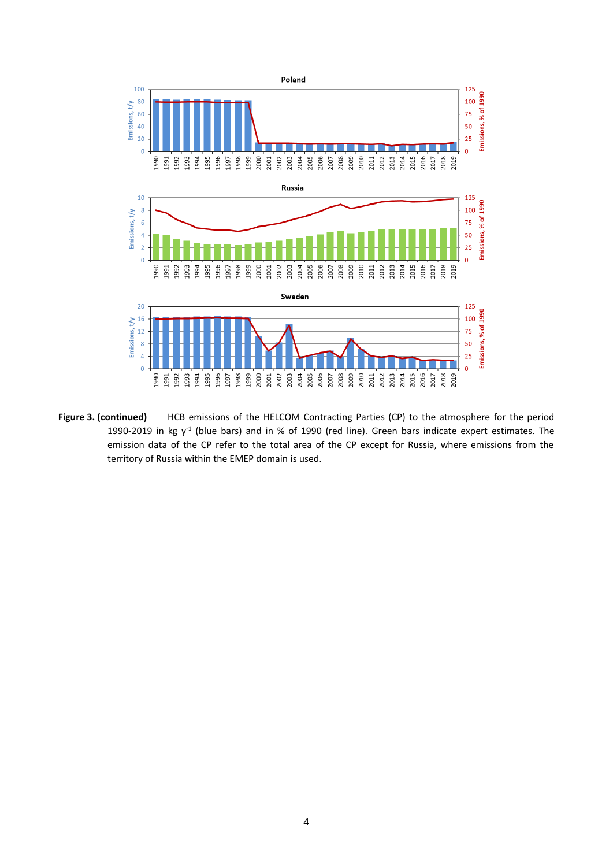

**Figure 3. (continued)** HCB emissions of the HELCOM Contracting Parties (CP) to the atmosphere for the period 1990-2019 in kg  $y^1$  (blue bars) and in % of 1990 (red line). Green bars indicate expert estimates. The emission data of the CP refer to the total area of the CP except for Russia, where emissions from the territory of Russia within the EMEP domain is used.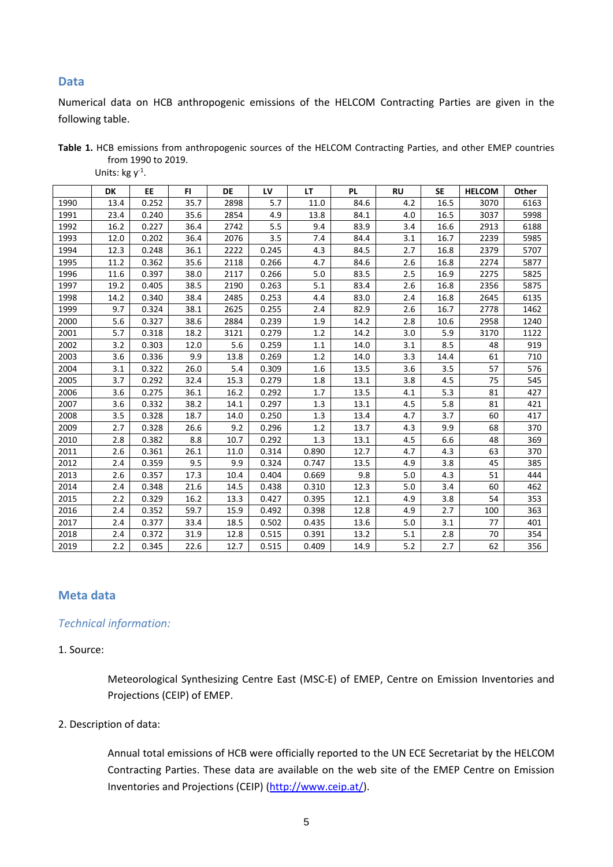### **Data**

Numerical data on HCB anthropogenic emissions of the HELCOM Contracting Parties are given in the following table.

| Table 1. HCB emissions from anthropogenic sources of the HELCOM Contracting Parties, and other EMEP countries |  |  |  |
|---------------------------------------------------------------------------------------------------------------|--|--|--|
| from 1990 to 2019.                                                                                            |  |  |  |
|                                                                                                               |  |  |  |

Units: kg  $y^1$ .

|      | <b>DK</b> | EE    | FI.  | <b>DE</b> | LV    | <b>LT</b> | <b>PL</b> | <b>RU</b> | <b>SE</b> | <b>HELCOM</b> | Other |
|------|-----------|-------|------|-----------|-------|-----------|-----------|-----------|-----------|---------------|-------|
| 1990 | 13.4      | 0.252 | 35.7 | 2898      | 5.7   | 11.0      | 84.6      | 4.2       | 16.5      | 3070          | 6163  |
| 1991 | 23.4      | 0.240 | 35.6 | 2854      | 4.9   | 13.8      | 84.1      | 4.0       | 16.5      | 3037          | 5998  |
| 1992 | 16.2      | 0.227 | 36.4 | 2742      | 5.5   | 9.4       | 83.9      | 3.4       | 16.6      | 2913          | 6188  |
| 1993 | 12.0      | 0.202 | 36.4 | 2076      | 3.5   | 7.4       | 84.4      | 3.1       | 16.7      | 2239          | 5985  |
| 1994 | 12.3      | 0.248 | 36.1 | 2222      | 0.245 | 4.3       | 84.5      | 2.7       | 16.8      | 2379          | 5707  |
| 1995 | 11.2      | 0.362 | 35.6 | 2118      | 0.266 | 4.7       | 84.6      | 2.6       | 16.8      | 2274          | 5877  |
| 1996 | 11.6      | 0.397 | 38.0 | 2117      | 0.266 | 5.0       | 83.5      | 2.5       | 16.9      | 2275          | 5825  |
| 1997 | 19.2      | 0.405 | 38.5 | 2190      | 0.263 | 5.1       | 83.4      | 2.6       | 16.8      | 2356          | 5875  |
| 1998 | 14.2      | 0.340 | 38.4 | 2485      | 0.253 | 4.4       | 83.0      | 2.4       | 16.8      | 2645          | 6135  |
| 1999 | 9.7       | 0.324 | 38.1 | 2625      | 0.255 | 2.4       | 82.9      | 2.6       | 16.7      | 2778          | 1462  |
| 2000 | 5.6       | 0.327 | 38.6 | 2884      | 0.239 | 1.9       | 14.2      | 2.8       | 10.6      | 2958          | 1240  |
| 2001 | 5.7       | 0.318 | 18.2 | 3121      | 0.279 | 1.2       | 14.2      | 3.0       | 5.9       | 3170          | 1122  |
| 2002 | 3.2       | 0.303 | 12.0 | 5.6       | 0.259 | 1.1       | 14.0      | 3.1       | 8.5       | 48            | 919   |
| 2003 | 3.6       | 0.336 | 9.9  | 13.8      | 0.269 | 1.2       | 14.0      | 3.3       | 14.4      | 61            | 710   |
| 2004 | 3.1       | 0.322 | 26.0 | 5.4       | 0.309 | 1.6       | 13.5      | 3.6       | 3.5       | 57            | 576   |
| 2005 | 3.7       | 0.292 | 32.4 | 15.3      | 0.279 | 1.8       | 13.1      | 3.8       | 4.5       | 75            | 545   |
| 2006 | 3.6       | 0.275 | 36.1 | 16.2      | 0.292 | 1.7       | 13.5      | 4.1       | 5.3       | 81            | 427   |
| 2007 | 3.6       | 0.332 | 38.2 | 14.1      | 0.297 | 1.3       | 13.1      | 4.5       | 5.8       | 81            | 421   |
| 2008 | 3.5       | 0.328 | 18.7 | 14.0      | 0.250 | 1.3       | 13.4      | 4.7       | 3.7       | 60            | 417   |
| 2009 | 2.7       | 0.328 | 26.6 | 9.2       | 0.296 | 1.2       | 13.7      | 4.3       | 9.9       | 68            | 370   |
| 2010 | 2.8       | 0.382 | 8.8  | 10.7      | 0.292 | 1.3       | 13.1      | 4.5       | 6.6       | 48            | 369   |
| 2011 | 2.6       | 0.361 | 26.1 | 11.0      | 0.314 | 0.890     | 12.7      | 4.7       | 4.3       | 63            | 370   |
| 2012 | 2.4       | 0.359 | 9.5  | 9.9       | 0.324 | 0.747     | 13.5      | 4.9       | 3.8       | 45            | 385   |
| 2013 | 2.6       | 0.357 | 17.3 | 10.4      | 0.404 | 0.669     | 9.8       | 5.0       | 4.3       | 51            | 444   |
| 2014 | 2.4       | 0.348 | 21.6 | 14.5      | 0.438 | 0.310     | 12.3      | 5.0       | 3.4       | 60            | 462   |
| 2015 | 2.2       | 0.329 | 16.2 | 13.3      | 0.427 | 0.395     | 12.1      | 4.9       | 3.8       | 54            | 353   |
| 2016 | 2.4       | 0.352 | 59.7 | 15.9      | 0.492 | 0.398     | 12.8      | 4.9       | 2.7       | 100           | 363   |
| 2017 | 2.4       | 0.377 | 33.4 | 18.5      | 0.502 | 0.435     | 13.6      | 5.0       | 3.1       | 77            | 401   |
| 2018 | 2.4       | 0.372 | 31.9 | 12.8      | 0.515 | 0.391     | 13.2      | 5.1       | 2.8       | 70            | 354   |
| 2019 | 2.2       | 0.345 | 22.6 | 12.7      | 0.515 | 0.409     | 14.9      | 5.2       | 2.7       | 62            | 356   |

# **Meta data**

### *Technical information:*

#### 1. Source:

Meteorological Synthesizing Centre East (MSC-E) of EMEP, Centre on Emission Inventories and Projections (CEIP) of EMEP.

### 2. Description of data:

Annual total emissions of HCB were officially reported to the UN ECE Secretariat by the HELCOM Contracting Parties. These data are available on the web site of the EMEP Centre on Emission Inventories and Projections (CEIP) [\(http://www.ceip.at/\)](http://www.ceip.at/).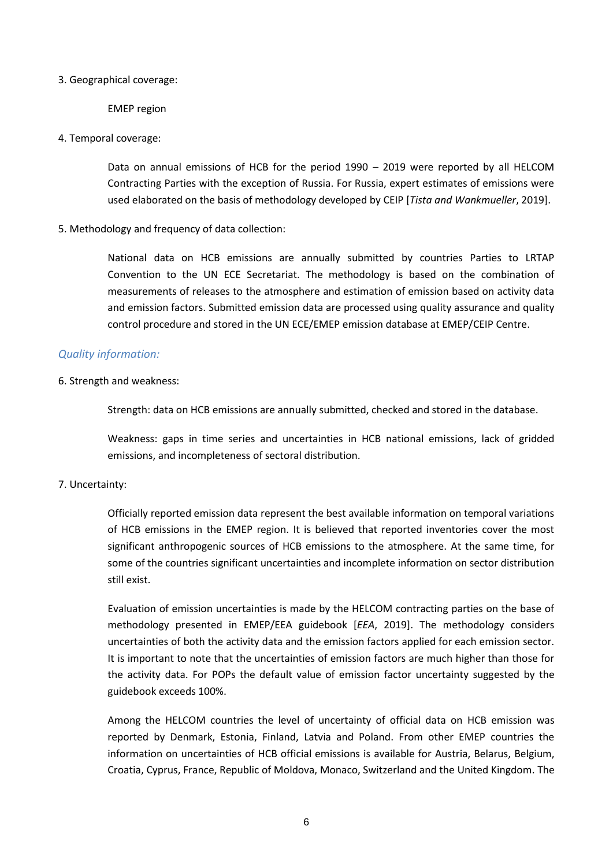#### 3. Geographical coverage:

EMEP region

4. Temporal coverage:

Data on annual emissions of HCB for the period 1990 – 2019 were reported by all HELCOM Contracting Parties with the exception of Russia. For Russia, expert estimates of emissions were used elaborated on the basis of methodology developed by CEIP [*Tista and Wankmueller*, 2019].

5. Methodology and frequency of data collection:

National data on HCB emissions are annually submitted by countries Parties to LRTAP Convention to the UN ECE Secretariat. The methodology is based on the combination of measurements of releases to the atmosphere and estimation of emission based on activity data and emission factors. Submitted emission data are processed using quality assurance and quality control procedure and stored in the UN ECE/EMEP emission database at EMEP/CEIP Centre.

### *Quality information:*

6. Strength and weakness:

Strength: data on HCB emissions are annually submitted, checked and stored in the database.

Weakness: gaps in time series and uncertainties in HCB national emissions, lack of gridded emissions, and incompleteness of sectoral distribution.

#### 7. Uncertainty:

Officially reported emission data represent the best available information on temporal variations of HCB emissions in the EMEP region. It is believed that reported inventories cover the most significant anthropogenic sources of HCB emissions to the atmosphere. At the same time, for some of the countries significant uncertainties and incomplete information on sector distribution still exist.

Evaluation of emission uncertainties is made by the HELCOM contracting parties on the base of methodology presented in EMEP/EEA guidebook [*EEA*, 2019]. The methodology considers uncertainties of both the activity data and the emission factors applied for each emission sector. It is important to note that the uncertainties of emission factors are much higher than those for the activity data. For POPs the default value of emission factor uncertainty suggested by the guidebook exceeds 100%.

Among the HELCOM countries the level of uncertainty of official data on HCB emission was reported by Denmark, Estonia, Finland, Latvia and Poland. From other EMEP countries the information on uncertainties of HCB official emissions is available for Austria, Belarus, Belgium, Croatia, Cyprus, France, Republic of Moldova, Monaco, Switzerland and the United Kingdom. The